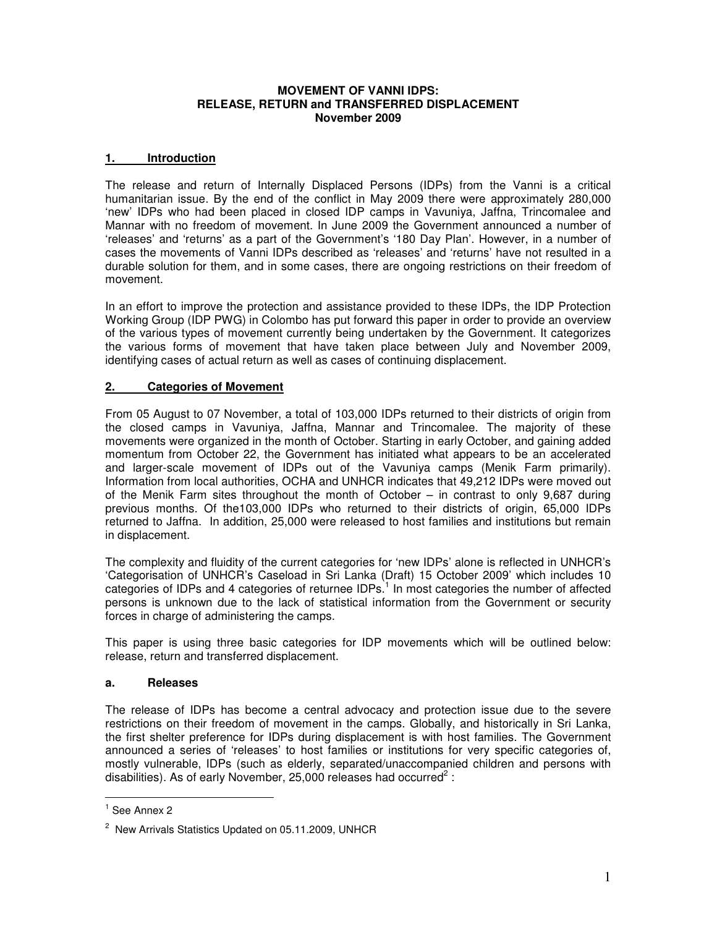#### **MOVEMENT OF VANNI IDPS: RELEASE, RETURN and TRANSFERRED DISPLACEMENT November 2009**

### **1. Introduction**

The release and return of Internally Displaced Persons (IDPs) from the Vanni is a critical humanitarian issue. By the end of the conflict in May 2009 there were approximately 280,000 'new' IDPs who had been placed in closed IDP camps in Vavuniya, Jaffna, Trincomalee and Mannar with no freedom of movement. In June 2009 the Government announced a number of 'releases' and 'returns' as a part of the Government's '180 Day Plan'. However, in a number of cases the movements of Vanni IDPs described as 'releases' and 'returns' have not resulted in a durable solution for them, and in some cases, there are ongoing restrictions on their freedom of movement.

In an effort to improve the protection and assistance provided to these IDPs, the IDP Protection Working Group (IDP PWG) in Colombo has put forward this paper in order to provide an overview of the various types of movement currently being undertaken by the Government. It categorizes the various forms of movement that have taken place between July and November 2009, identifying cases of actual return as well as cases of continuing displacement.

### **2. Categories of Movement**

From 05 August to 07 November, a total of 103,000 IDPs returned to their districts of origin from the closed camps in Vavuniya, Jaffna, Mannar and Trincomalee. The majority of these movements were organized in the month of October. Starting in early October, and gaining added momentum from October 22, the Government has initiated what appears to be an accelerated and larger-scale movement of IDPs out of the Vavuniya camps (Menik Farm primarily). Information from local authorities, OCHA and UNHCR indicates that 49,212 IDPs were moved out of the Menik Farm sites throughout the month of October – in contrast to only 9,687 during previous months. Of the103,000 IDPs who returned to their districts of origin, 65,000 IDPs returned to Jaffna. In addition, 25,000 were released to host families and institutions but remain in displacement.

The complexity and fluidity of the current categories for 'new IDPs' alone is reflected in UNHCR's 'Categorisation of UNHCR's Caseload in Sri Lanka (Draft) 15 October 2009' which includes 10 categories of IDPs and 4 categories of returnee IDPs.<sup>1</sup> In most categories the number of affected persons is unknown due to the lack of statistical information from the Government or security forces in charge of administering the camps.

This paper is using three basic categories for IDP movements which will be outlined below: release, return and transferred displacement.

#### **a. Releases**

The release of IDPs has become a central advocacy and protection issue due to the severe restrictions on their freedom of movement in the camps. Globally, and historically in Sri Lanka, the first shelter preference for IDPs during displacement is with host families. The Government announced a series of 'releases' to host families or institutions for very specific categories of, mostly vulnerable, IDPs (such as elderly, separated/unaccompanied children and persons with disabilities). As of early November, 25,000 releases had occurred<sup>2</sup>:

<sup>&</sup>lt;sup>1</sup> See Annex 2

<sup>&</sup>lt;sup>2</sup> New Arrivals Statistics Updated on 05.11.2009, UNHCR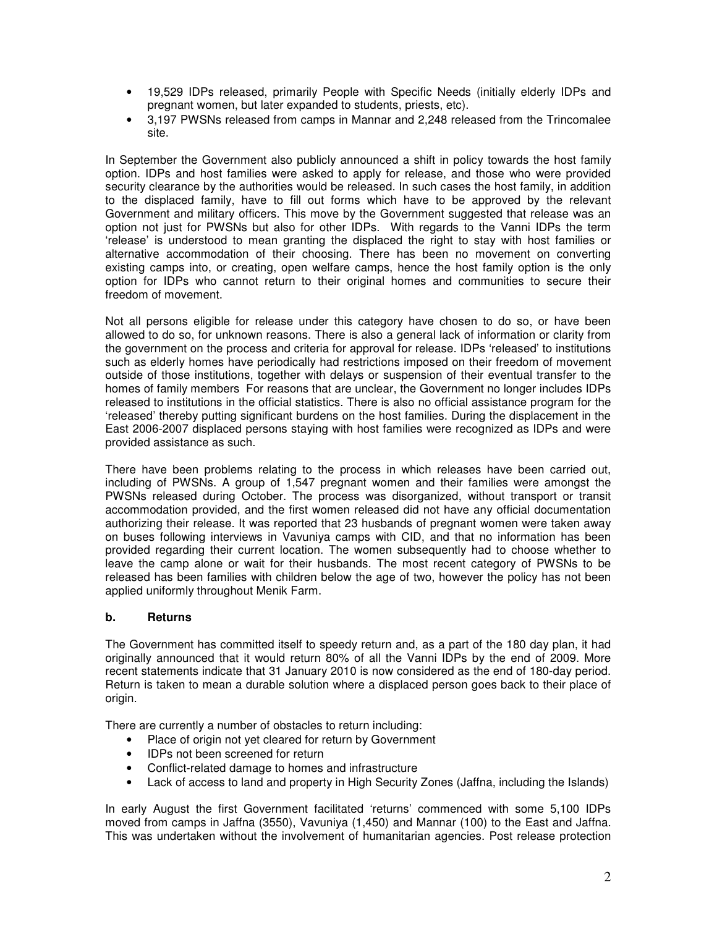- 19,529 IDPs released, primarily People with Specific Needs (initially elderly IDPs and pregnant women, but later expanded to students, priests, etc).
- 3,197 PWSNs released from camps in Mannar and 2,248 released from the Trincomalee site.

In September the Government also publicly announced a shift in policy towards the host family option. IDPs and host families were asked to apply for release, and those who were provided security clearance by the authorities would be released. In such cases the host family, in addition to the displaced family, have to fill out forms which have to be approved by the relevant Government and military officers. This move by the Government suggested that release was an option not just for PWSNs but also for other IDPs. With regards to the Vanni IDPs the term 'release' is understood to mean granting the displaced the right to stay with host families or alternative accommodation of their choosing. There has been no movement on converting existing camps into, or creating, open welfare camps, hence the host family option is the only option for IDPs who cannot return to their original homes and communities to secure their freedom of movement.

Not all persons eligible for release under this category have chosen to do so, or have been allowed to do so, for unknown reasons. There is also a general lack of information or clarity from the government on the process and criteria for approval for release. IDPs 'released' to institutions such as elderly homes have periodically had restrictions imposed on their freedom of movement outside of those institutions, together with delays or suspension of their eventual transfer to the homes of family members For reasons that are unclear, the Government no longer includes IDPs released to institutions in the official statistics. There is also no official assistance program for the 'released' thereby putting significant burdens on the host families. During the displacement in the East 2006-2007 displaced persons staying with host families were recognized as IDPs and were provided assistance as such.

There have been problems relating to the process in which releases have been carried out, including of PWSNs. A group of 1,547 pregnant women and their families were amongst the PWSNs released during October. The process was disorganized, without transport or transit accommodation provided, and the first women released did not have any official documentation authorizing their release. It was reported that 23 husbands of pregnant women were taken away on buses following interviews in Vavuniya camps with CID, and that no information has been provided regarding their current location. The women subsequently had to choose whether to leave the camp alone or wait for their husbands. The most recent category of PWSNs to be released has been families with children below the age of two, however the policy has not been applied uniformly throughout Menik Farm.

#### **b. Returns**

The Government has committed itself to speedy return and, as a part of the 180 day plan, it had originally announced that it would return 80% of all the Vanni IDPs by the end of 2009. More recent statements indicate that 31 January 2010 is now considered as the end of 180-day period. Return is taken to mean a durable solution where a displaced person goes back to their place of origin.

There are currently a number of obstacles to return including:

- Place of origin not yet cleared for return by Government
- IDPs not been screened for return
- Conflict-related damage to homes and infrastructure
- Lack of access to land and property in High Security Zones (Jaffna, including the Islands)

In early August the first Government facilitated 'returns' commenced with some 5,100 IDPs moved from camps in Jaffna (3550), Vavuniya (1,450) and Mannar (100) to the East and Jaffna. This was undertaken without the involvement of humanitarian agencies. Post release protection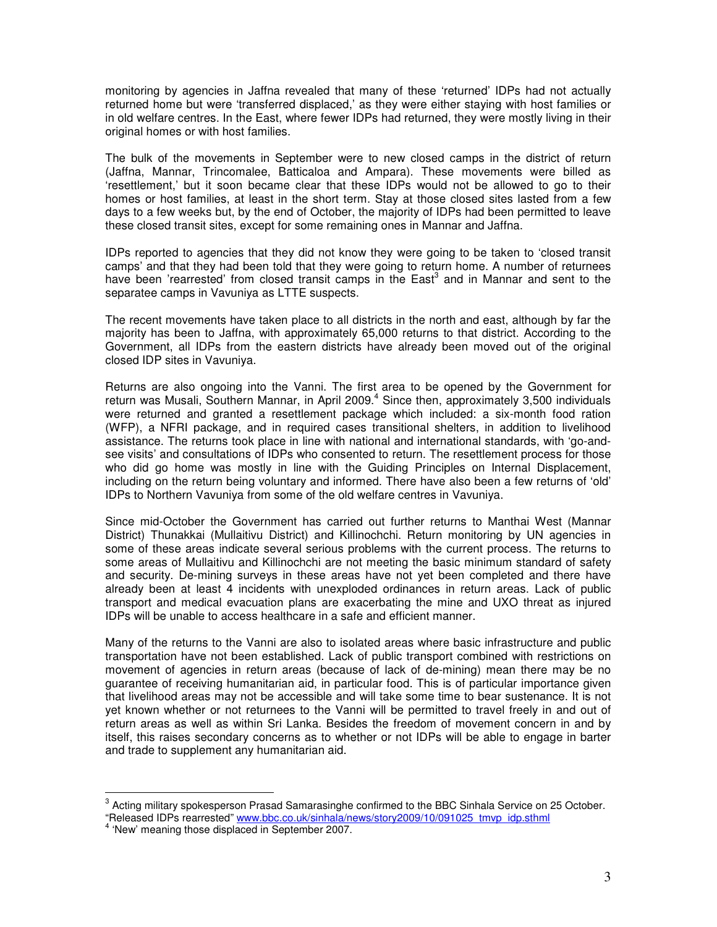monitoring by agencies in Jaffna revealed that many of these 'returned' IDPs had not actually returned home but were 'transferred displaced,' as they were either staying with host families or in old welfare centres. In the East, where fewer IDPs had returned, they were mostly living in their original homes or with host families.

The bulk of the movements in September were to new closed camps in the district of return (Jaffna, Mannar, Trincomalee, Batticaloa and Ampara). These movements were billed as 'resettlement,' but it soon became clear that these IDPs would not be allowed to go to their homes or host families, at least in the short term. Stay at those closed sites lasted from a few days to a few weeks but, by the end of October, the majority of IDPs had been permitted to leave these closed transit sites, except for some remaining ones in Mannar and Jaffna.

IDPs reported to agencies that they did not know they were going to be taken to 'closed transit camps' and that they had been told that they were going to return home. A number of returnees have been 'rearrested' from closed transit camps in the East<sup>3</sup> and in Mannar and sent to the separatee camps in Vavuniya as LTTE suspects.

The recent movements have taken place to all districts in the north and east, although by far the majority has been to Jaffna, with approximately 65,000 returns to that district. According to the Government, all IDPs from the eastern districts have already been moved out of the original closed IDP sites in Vavuniya.

Returns are also ongoing into the Vanni. The first area to be opened by the Government for return was Musali, Southern Mannar, in April 2009.<sup>4</sup> Since then, approximately 3,500 individuals were returned and granted a resettlement package which included: a six-month food ration (WFP), a NFRI package, and in required cases transitional shelters, in addition to livelihood assistance. The returns took place in line with national and international standards, with 'go-andsee visits' and consultations of IDPs who consented to return. The resettlement process for those who did go home was mostly in line with the Guiding Principles on Internal Displacement, including on the return being voluntary and informed. There have also been a few returns of 'old' IDPs to Northern Vavuniya from some of the old welfare centres in Vavuniya.

Since mid-October the Government has carried out further returns to Manthai West (Mannar District) Thunakkai (Mullaitivu District) and Killinochchi. Return monitoring by UN agencies in some of these areas indicate several serious problems with the current process. The returns to some areas of Mullaitivu and Killinochchi are not meeting the basic minimum standard of safety and security. De-mining surveys in these areas have not yet been completed and there have already been at least 4 incidents with unexploded ordinances in return areas. Lack of public transport and medical evacuation plans are exacerbating the mine and UXO threat as injured IDPs will be unable to access healthcare in a safe and efficient manner.

Many of the returns to the Vanni are also to isolated areas where basic infrastructure and public transportation have not been established. Lack of public transport combined with restrictions on movement of agencies in return areas (because of lack of de-mining) mean there may be no guarantee of receiving humanitarian aid, in particular food. This is of particular importance given that livelihood areas may not be accessible and will take some time to bear sustenance. It is not yet known whether or not returnees to the Vanni will be permitted to travel freely in and out of return areas as well as within Sri Lanka. Besides the freedom of movement concern in and by itself, this raises secondary concerns as to whether or not IDPs will be able to engage in barter and trade to supplement any humanitarian aid.

 $^3$  Acting military spokesperson Prasad Samarasinghe confirmed to the BBC Sinhala Service on 25 October. "Released IDPs rearrested" <u>www.bbc.co.uk/sinhala/news/story2009/10/091025\_tmvp\_idp.sthml</u><br><sup>4</sup> 'New' meaning those displaced in September 2007.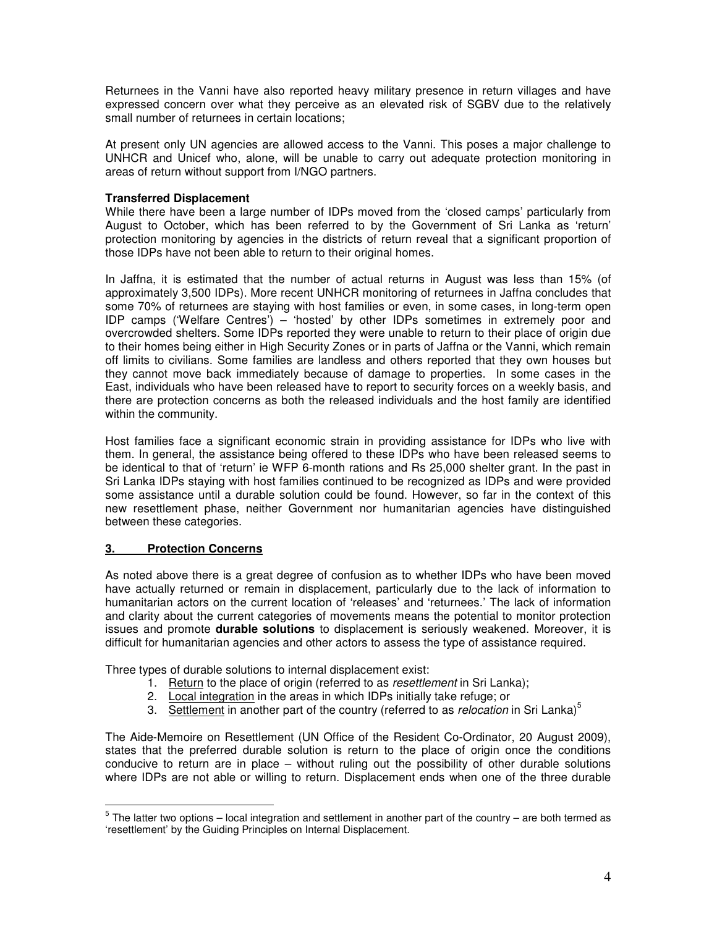Returnees in the Vanni have also reported heavy military presence in return villages and have expressed concern over what they perceive as an elevated risk of SGBV due to the relatively small number of returnees in certain locations;

At present only UN agencies are allowed access to the Vanni. This poses a major challenge to UNHCR and Unicef who, alone, will be unable to carry out adequate protection monitoring in areas of return without support from I/NGO partners.

#### **Transferred Displacement**

While there have been a large number of IDPs moved from the 'closed camps' particularly from August to October, which has been referred to by the Government of Sri Lanka as 'return' protection monitoring by agencies in the districts of return reveal that a significant proportion of those IDPs have not been able to return to their original homes.

In Jaffna, it is estimated that the number of actual returns in August was less than 15% (of approximately 3,500 IDPs). More recent UNHCR monitoring of returnees in Jaffna concludes that some 70% of returnees are staying with host families or even, in some cases, in long-term open IDP camps ('Welfare Centres') – 'hosted' by other IDPs sometimes in extremely poor and overcrowded shelters. Some IDPs reported they were unable to return to their place of origin due to their homes being either in High Security Zones or in parts of Jaffna or the Vanni, which remain off limits to civilians. Some families are landless and others reported that they own houses but they cannot move back immediately because of damage to properties. In some cases in the East, individuals who have been released have to report to security forces on a weekly basis, and there are protection concerns as both the released individuals and the host family are identified within the community.

Host families face a significant economic strain in providing assistance for IDPs who live with them. In general, the assistance being offered to these IDPs who have been released seems to be identical to that of 'return' ie WFP 6-month rations and Rs 25,000 shelter grant. In the past in Sri Lanka IDPs staying with host families continued to be recognized as IDPs and were provided some assistance until a durable solution could be found. However, so far in the context of this new resettlement phase, neither Government nor humanitarian agencies have distinguished between these categories.

#### **3. Protection Concerns**

As noted above there is a great degree of confusion as to whether IDPs who have been moved have actually returned or remain in displacement, particularly due to the lack of information to humanitarian actors on the current location of 'releases' and 'returnees.' The lack of information and clarity about the current categories of movements means the potential to monitor protection issues and promote **durable solutions** to displacement is seriously weakened. Moreover, it is difficult for humanitarian agencies and other actors to assess the type of assistance required.

Three types of durable solutions to internal displacement exist:

- 1. Return to the place of origin (referred to as *resettlement* in Sri Lanka);
- 2. Local integration in the areas in which IDPs initially take refuge; or
- 3. Settlement in another part of the country (referred to as *relocation* in Sri Lanka) 5

The Aide-Memoire on Resettlement (UN Office of the Resident Co-Ordinator, 20 August 2009), states that the preferred durable solution is return to the place of origin once the conditions conducive to return are in place – without ruling out the possibility of other durable solutions where IDPs are not able or willing to return. Displacement ends when one of the three durable

 $5$  The latter two options – local integration and settlement in another part of the country – are both termed as 'resettlement' by the Guiding Principles on Internal Displacement.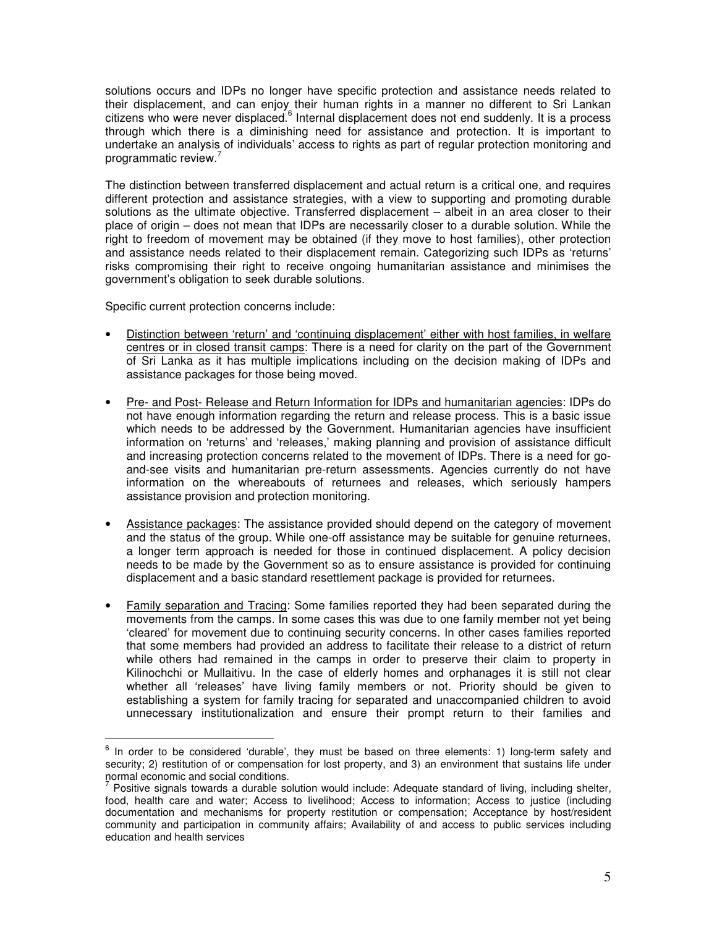solutions occurs and IDPs no longer have specific protection and assistance needs related to their displacement, and can enjoy their human rights in a manner no different to Sri Lankan citizens who were never displaced.<sup>6</sup> Internal displacement does not end suddenly. It is a process through which there is a diminishing need for assistance and protection. It is important to undertake an analysis of individuals' access to rights as part of regular protection monitoring and programmatic review.<sup>7</sup>

The distinction between transferred displacement and actual return is a critical one, and requires different protection and assistance strategies, with a view to supporting and promoting durable solutions as the ultimate objective. Transferred displacement – albeit in an area closer to their place of origin – does not mean that IDPs are necessarily closer to a durable solution. While the right to freedom of movement may be obtained (if they move to host families), other protection and assistance needs related to their displacement remain. Categorizing such IDPs as 'returns' risks compromising their right to receive ongoing humanitarian assistance and minimises the government's obligation to seek durable solutions.

Specific current protection concerns include:

- Distinction between 'return' and 'continuing displacement' either with host families, in welfare centres or in closed transit camps: There is a need for clarity on the part of the Government of Sri Lanka as it has multiple implications including on the decision making of IDPs and assistance packages for those being moved.
- Pre- and Post- Release and Return Information for IDPs and humanitarian agencies: IDPs do not have enough information regarding the return and release process. This is a basic issue which needs to be addressed by the Government. Humanitarian agencies have insufficient information on 'returns' and 'releases,' making planning and provision of assistance difficult and increasing protection concerns related to the movement of IDPs. There is a need for goand-see visits and humanitarian pre-return assessments. Agencies currently do not have information on the whereabouts of returnees and releases, which seriously hampers assistance provision and protection monitoring.
- Assistance packages: The assistance provided should depend on the category of movement and the status of the group. While one-off assistance may be suitable for genuine returnees, a longer term approach is needed for those in continued displacement. A policy decision needs to be made by the Government so as to ensure assistance is provided for continuing displacement and a basic standard resettlement package is provided for returnees.
- Family separation and Tracing: Some families reported they had been separated during the movements from the camps. In some cases this was due to one family member not yet being 'cleared' for movement due to continuing security concerns. In other cases families reported that some members had provided an address to facilitate their release to a district of return while others had remained in the camps in order to preserve their claim to property in Kilinochchi or Mullaitivu. In the case of elderly homes and orphanages it is still not clear whether all 'releases' have living family members or not. Priority should be given to establishing a system for family tracing for separated and unaccompanied children to avoid unnecessary institutionalization and ensure their prompt return to their families and

 $6$  In order to be considered 'durable', they must be based on three elements: 1) long-term safety and security; 2) restitution of or compensation for lost property, and 3) an environment that sustains life under normal economic and social conditions.

<sup>7</sup> Positive signals towards a durable solution would include: Adequate standard of living, including shelter, food, health care and water; Access to livelihood; Access to information; Access to justice (including documentation and mechanisms for property restitution or compensation; Acceptance by host/resident community and participation in community affairs; Availability of and access to public services including education and health services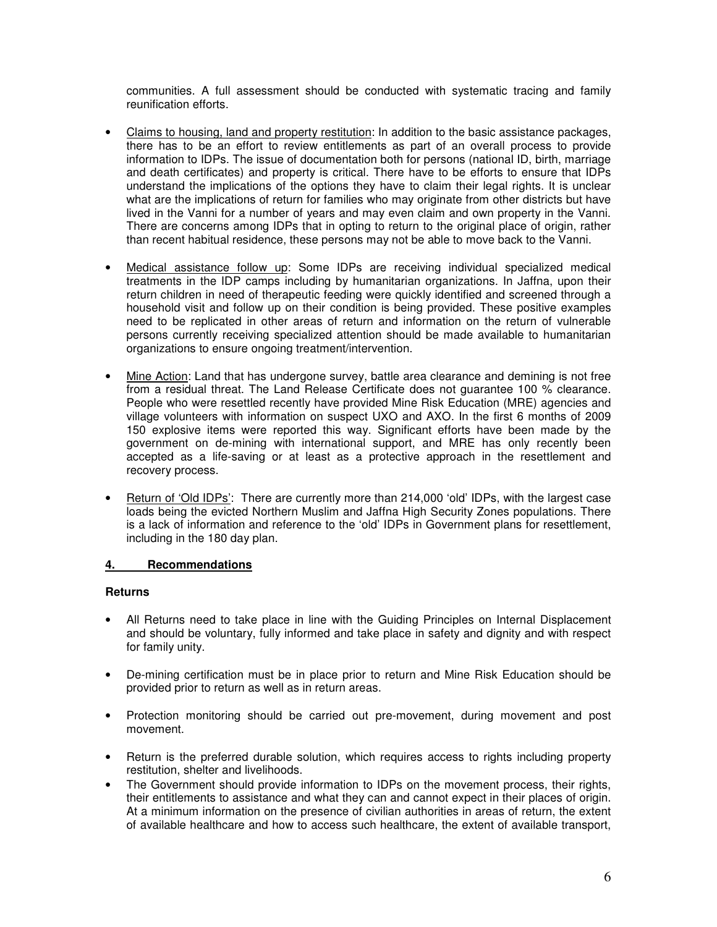communities. A full assessment should be conducted with systematic tracing and family reunification efforts.

- Claims to housing, land and property restitution: In addition to the basic assistance packages, there has to be an effort to review entitlements as part of an overall process to provide information to IDPs. The issue of documentation both for persons (national ID, birth, marriage and death certificates) and property is critical. There have to be efforts to ensure that IDPs understand the implications of the options they have to claim their legal rights. It is unclear what are the implications of return for families who may originate from other districts but have lived in the Vanni for a number of years and may even claim and own property in the Vanni. There are concerns among IDPs that in opting to return to the original place of origin, rather than recent habitual residence, these persons may not be able to move back to the Vanni.
- Medical assistance follow up: Some IDPs are receiving individual specialized medical treatments in the IDP camps including by humanitarian organizations. In Jaffna, upon their return children in need of therapeutic feeding were quickly identified and screened through a household visit and follow up on their condition is being provided. These positive examples need to be replicated in other areas of return and information on the return of vulnerable persons currently receiving specialized attention should be made available to humanitarian organizations to ensure ongoing treatment/intervention.
- Mine Action: Land that has undergone survey, battle area clearance and demining is not free from a residual threat. The Land Release Certificate does not guarantee 100 % clearance. People who were resettled recently have provided Mine Risk Education (MRE) agencies and village volunteers with information on suspect UXO and AXO. In the first 6 months of 2009 150 explosive items were reported this way. Significant efforts have been made by the government on de-mining with international support, and MRE has only recently been accepted as a life-saving or at least as a protective approach in the resettlement and recovery process.
- Return of 'Old IDPs': There are currently more than 214,000 'old' IDPs, with the largest case loads being the evicted Northern Muslim and Jaffna High Security Zones populations. There is a lack of information and reference to the 'old' IDPs in Government plans for resettlement, including in the 180 day plan.

#### **4. Recommendations**

#### **Returns**

- All Returns need to take place in line with the Guiding Principles on Internal Displacement and should be voluntary, fully informed and take place in safety and dignity and with respect for family unity.
- De-mining certification must be in place prior to return and Mine Risk Education should be provided prior to return as well as in return areas.
- Protection monitoring should be carried out pre-movement, during movement and post movement.
- Return is the preferred durable solution, which requires access to rights including property restitution, shelter and livelihoods.
- The Government should provide information to IDPs on the movement process, their rights, their entitlements to assistance and what they can and cannot expect in their places of origin. At a minimum information on the presence of civilian authorities in areas of return, the extent of available healthcare and how to access such healthcare, the extent of available transport,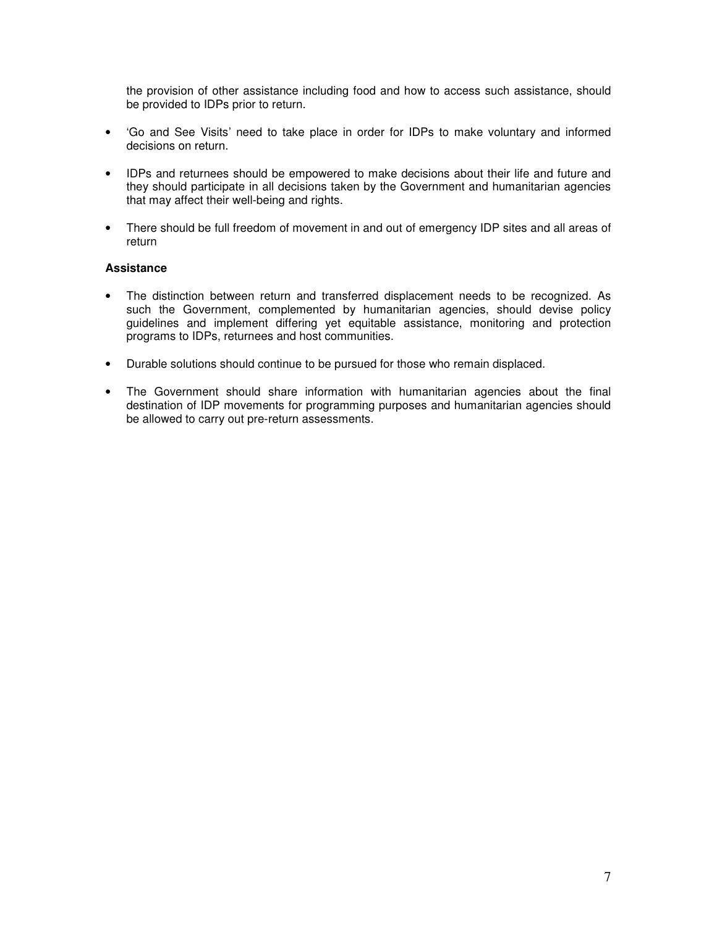the provision of other assistance including food and how to access such assistance, should be provided to IDPs prior to return.

- 'Go and See Visits' need to take place in order for IDPs to make voluntary and informed decisions on return.
- IDPs and returnees should be empowered to make decisions about their life and future and they should participate in all decisions taken by the Government and humanitarian agencies that may affect their well-being and rights.
- There should be full freedom of movement in and out of emergency IDP sites and all areas of return

#### **Assistance**

- The distinction between return and transferred displacement needs to be recognized. As such the Government, complemented by humanitarian agencies, should devise policy guidelines and implement differing yet equitable assistance, monitoring and protection programs to IDPs, returnees and host communities.
- Durable solutions should continue to be pursued for those who remain displaced.
- The Government should share information with humanitarian agencies about the final destination of IDP movements for programming purposes and humanitarian agencies should be allowed to carry out pre-return assessments.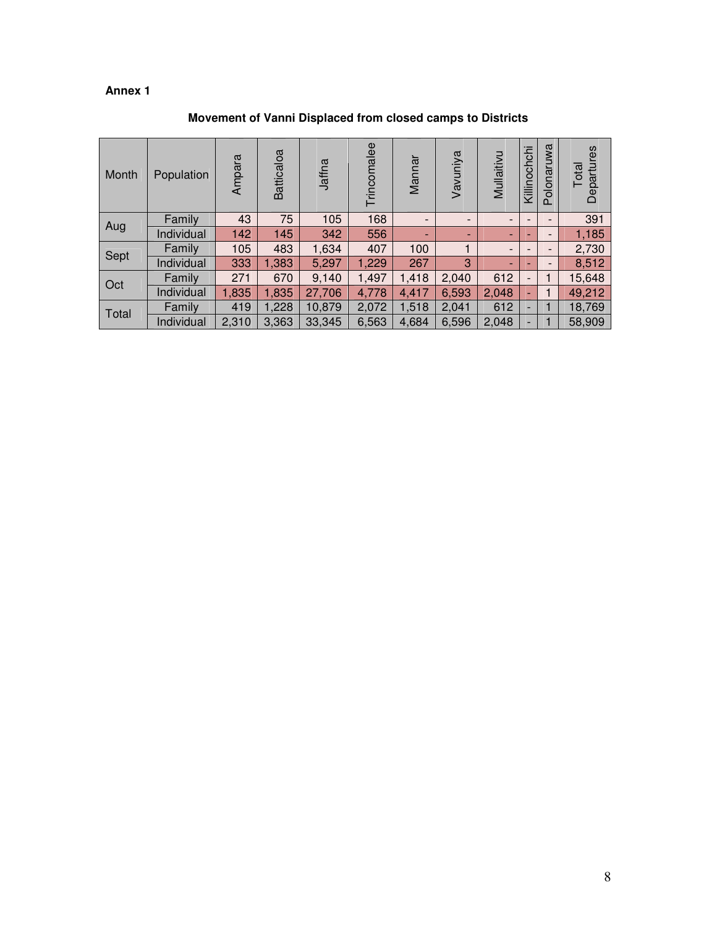# **Annex 1**

| Month | Population | Ampara | Batticaloa | Jaffna | Trincomalee | Mannar                                                                                                                                                      | Vavuniya                 | Mullaitivu                                                    | Killinochchi                 | Polonaruwa                   | res<br>Departur<br>Total |
|-------|------------|--------|------------|--------|-------------|-------------------------------------------------------------------------------------------------------------------------------------------------------------|--------------------------|---------------------------------------------------------------|------------------------------|------------------------------|--------------------------|
|       | Family     | 43     | 75         | 105    | 168         | $\qquad \qquad \blacksquare$<br>$\qquad \qquad -$<br>٠<br>٠<br>1<br>100<br>3<br>267<br>1,418<br>2,040<br>6,593<br>4,417<br>1,518<br>2,041<br>6,596<br>4,684 | $\overline{\phantom{a}}$ |                                                               | $\overline{\phantom{0}}$     | 391                          |                          |
| Aug   | Individual | 142    | 145        | 342    | 556         |                                                                                                                                                             |                          | $\blacksquare$                                                |                              | $\overline{\phantom{0}}$     | 1,185                    |
| Sept  | Family     | 105    | 483        | 1,634  | 407         |                                                                                                                                                             |                          | $\overline{\phantom{a}}$<br>٠<br>612<br>2,048<br>612<br>2,048 |                              | $\overline{a}$               | 2,730                    |
|       | Individual | 333    | 1,383      | 5,297  | 1,229       |                                                                                                                                                             |                          |                                                               |                              | $\qquad \qquad \blacksquare$ | 8,512                    |
| Oct   | Family     | 271    | 670        | 9,140  | 1,497       |                                                                                                                                                             |                          |                                                               | $\qquad \qquad \blacksquare$ |                              | 15,648                   |
|       | Individual | 1,835  | 1,835      | 27,706 | 4,778       |                                                                                                                                                             |                          |                                                               |                              |                              | 49,212                   |
| Total | Family     | 419    | 1,228      | 10,879 | 2,072       |                                                                                                                                                             |                          |                                                               | -                            |                              | 18,769                   |
|       | Individual | 2,310  | 3,363      | 33,345 | 6,563       |                                                                                                                                                             |                          |                                                               |                              |                              | 58,909                   |

# **Movement of Vanni Displaced from closed camps to Districts**